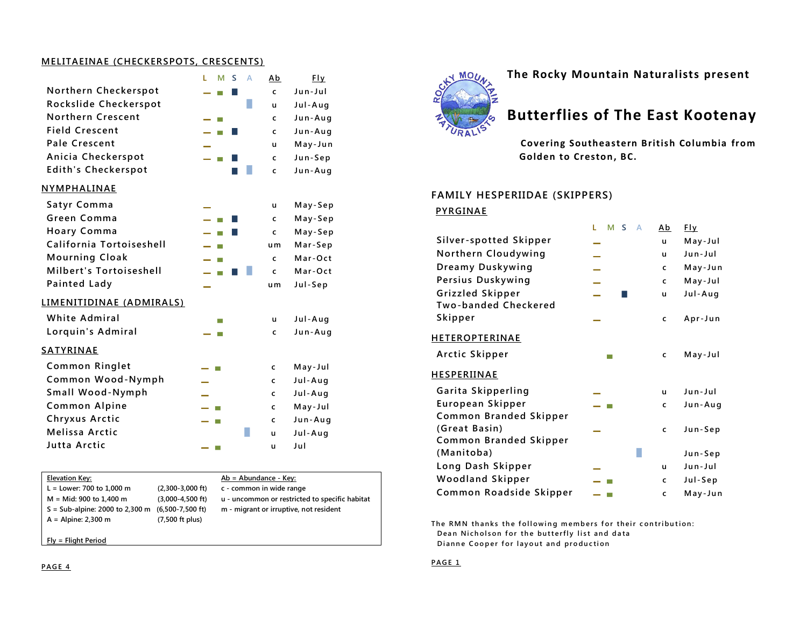#### **MELITAEINAE (CHECKERSPOTS, CRESCENTS)**

|                            | M<br>A<br>г<br>S | Ab  | <b>Fly</b> |
|----------------------------|------------------|-----|------------|
| Northern Checkerspot       |                  | C   | Jun-Jul    |
| Rockslide Checkerspot      |                  | ū   | Jul-Aug    |
| Northern Crescent          |                  | C   | Jun-Aug    |
| <b>Field Crescent</b>      | П                | C   | Jun-Aug    |
| <b>Pale Crescent</b>       |                  | u   | May-Jun    |
| Anicia Checkerspot         | m.               | C   | Jun-Sep    |
| <b>Edith's Checkerspot</b> |                  | C   | Jun-Aug    |
| <b>NYMPHALINAE</b>         |                  |     |            |
| Satyr Comma                |                  | u   | May-Sep    |
| Green Comma                |                  | C   | May-Sep    |
| <b>Hoary Comma</b>         |                  | C   | May-Sep    |
| California Tortoiseshell   |                  | u m | Mar-Sep    |
| <b>Mourning Cloak</b>      | ⊢                | C   | Mar-Oct    |
| Milbert's Tortoiseshell    |                  | C   | Mar-Oct    |
| <b>Painted Lady</b>        |                  | u m | Jul-Sep    |
| LIMENITIDINAE (ADMIRALS)   |                  |     |            |
| <b>White Admiral</b>       | m.               | u   | Jul-Aug    |
| Lorquin's Admiral          |                  | C   | Jun-Aug    |
| <b>SATYRINAE</b>           |                  |     |            |
| <b>Common Ringlet</b>      |                  | C   | May-Jul    |
| Common Wood-Nymph          |                  | C   | Jul-Aug    |
| Small Wood-Nymph           |                  | C   | Jul-Aug    |
| <b>Common Alpine</b>       | ш                | C   | May-Jul    |
| Chryxus Arctic             | ш                | C   | Jun-Aug    |
| Melissa Arctic             |                  | u   | Jul-Aug    |
| Jutta Arctic               | ш                | u   | Jul        |

| Elevation Key:                    |                           | $Ab = Abundance - Key:$                        |
|-----------------------------------|---------------------------|------------------------------------------------|
| $L =$ Lower: 700 to 1,000 m       | $(2,300-3,000$ ft)        | c - common in wide range                       |
| M = Mid: 900 to 1,400 m           | $(3.000 - 4.500$ ft)      | u - uncommon or restricted to specific habitat |
| $S = Sub-alpine: 2000$ to 2,300 m | (6,500-7,500 ft)          | m - migrant or irruptive, not resident         |
| $A =$ Alpine: 2,300 m             | $(7,500 \text{ ft plus})$ |                                                |
|                                   |                           |                                                |

**Fly = Flight Period**



**The Rocky Mountain Naturalists present**

# **Butterflies of The East Kootenay**

 **Covering Southeastern British Columbia from Golden to Creston, BC.**

#### **FAMILY HESPERIIDAE (SKIPPERS)**

#### **PYRGINAE**

|                             | м<br>г<br>S<br>А | Ab | $E_{\perp}$ |
|-----------------------------|------------------|----|-------------|
| Silver-spotted Skipper      |                  | u  | May-Jul     |
| Northern Cloudywing         |                  | u  | Jun-Jul     |
| Dreamy Duskywing            |                  | c  | May-Jun     |
| Persius Duskywing           |                  | c  | May-Jul     |
| Grizzled Skipper            |                  | u  | Jul-Aug     |
| <b>Two-banded Checkered</b> |                  |    |             |
| Skipper                     |                  | c  | Apr-Jun     |
| <u>HETEROPTERINAE</u>       |                  |    |             |
| Arctic Skipper              |                  | C  | May-Jul     |
| <u>HESPERIINAE</u>          |                  |    |             |
| Garita Skipperling          |                  | u  | Jun-Jul     |
| European Skipper            |                  | C  | Jun-Aug     |
| Common Branded Skipper      |                  |    |             |
| (Great Basin)               |                  | C  | Jun-Sep     |
| Common Branded Skipper      |                  |    |             |
| (Manitoba)                  |                  |    | Jun-Sep     |
| Long Dash Skipper           |                  | u  | Jun-Jul     |
| <b>Woodland Skipper</b>     |                  | c  | Jul-Sep     |
| Common Roadside Skipper     |                  | C  | May-Jun     |

The RMN thanks the following members for their contribution: **Dean Nicholson for the butterfly list and data Dianne Cooper for layout and production** 

#### **P AG E 1**